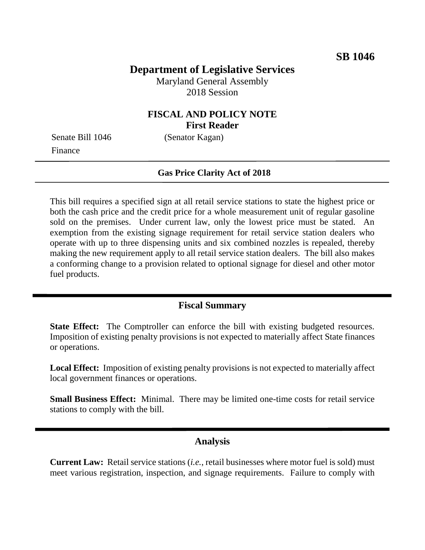## **Department of Legislative Services**

Maryland General Assembly 2018 Session

### **FISCAL AND POLICY NOTE First Reader**

Senate Bill 1046 (Senator Kagan) Finance

#### **Gas Price Clarity Act of 2018**

This bill requires a specified sign at all retail service stations to state the highest price or both the cash price and the credit price for a whole measurement unit of regular gasoline sold on the premises. Under current law, only the lowest price must be stated. An exemption from the existing signage requirement for retail service station dealers who operate with up to three dispensing units and six combined nozzles is repealed, thereby making the new requirement apply to all retail service station dealers. The bill also makes a conforming change to a provision related to optional signage for diesel and other motor fuel products.

### **Fiscal Summary**

**State Effect:** The Comptroller can enforce the bill with existing budgeted resources. Imposition of existing penalty provisions is not expected to materially affect State finances or operations.

**Local Effect:** Imposition of existing penalty provisions is not expected to materially affect local government finances or operations.

**Small Business Effect:** Minimal. There may be limited one-time costs for retail service stations to comply with the bill.

#### **Analysis**

**Current Law:** Retail service stations (*i.e.*, retail businesses where motor fuel is sold) must meet various registration, inspection, and signage requirements. Failure to comply with